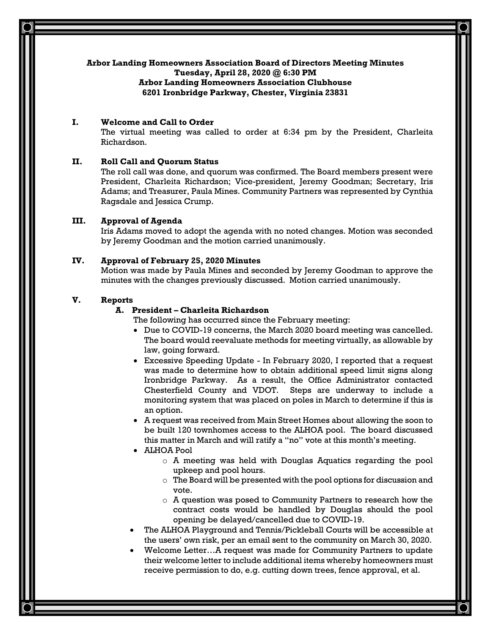## **Arbor Landing Homeowners Association Board of Directors Meeting Minutes**

**Tuesday, April 28, 2020 @ 6:30 PM**

# **I. Welcome and Call to Order**

The virtual meeting was called to order at 6:34 pm by the President, Charleita Richardson.

### **II. Roll Call and Quorum Status**

The roll call was done, and quorum was confirmed. The Board members present were President, Charleita Richardson; Vice-president, Jeremy Goodman; Secretary, Iris Adams; and Treasurer, Paula Mines. Community Partners was represented by Cynthia Ragsdale and Jessica Crump.

## **III. Approval of Agenda**

Iris Adams moved to adopt the agenda with no noted changes. Motion was seconded by Jeremy Goodman and the motion carried unanimously.

## **IV. Approval of February 25, 2020 Minutes**

Motion was made by Paula Mines and seconded by Jeremy Goodman to approve the minutes with the changes previously discussed. Motion carried unanimously.

# **V. Reports**

# **A. President – Charleita Richardson**

The following has occurred since the February meeting:

- Due to COVID-19 concerns, the March 2020 board meeting was cancelled. The board would reevaluate methods for meeting virtually, as allowable by law, going forward.
- Excessive Speeding Update In February 2020, I reported that a request was made to determine how to obtain additional speed limit signs along Ironbridge Parkway. As a result, the Office Administrator contacted Chesterfield County and VDOT. Steps are underway to include a monitoring system that was placed on poles in March to determine if this is an option.
- A request was received from Main Street Homes about allowing the soon to be built 120 townhomes access to the ALHOA pool. The board discussed this matter in March and will ratify a "no" vote at this month's meeting.
- ALHOA Pool
	- o A meeting was held with Douglas Aquatics regarding the pool upkeep and pool hours.
	- o The Board will be presented with the pool options for discussion and vote.
	- o A question was posed to Community Partners to research how the contract costs would be handled by Douglas should the pool opening be delayed/cancelled due to COVID-19.
- The ALHOA Playground and Tennis/Pickleball Courts will be accessible at the users' own risk, per an email sent to the community on March 30, 2020.
- Welcome Letter…A request was made for Community Partners to update their welcome letter to include additional items whereby homeowners must receive permission to do, e.g. cutting down trees, fence approval, et al.

**Arbor Landing Homeowners Association Clubhouse 6201 Ironbridge Parkway, Chester, Virginia 23831**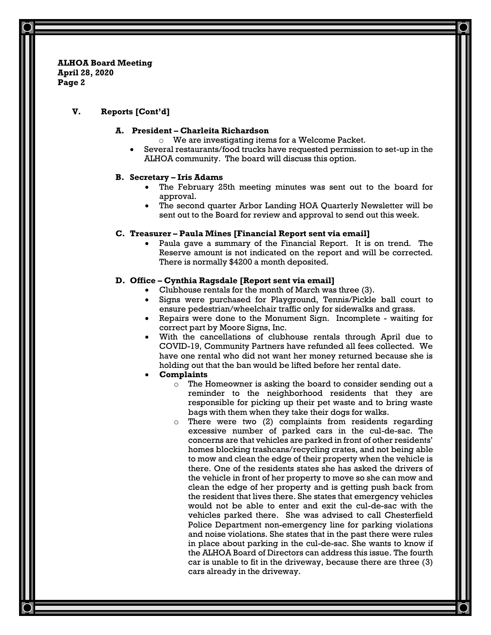## **V. Reports [Cont'd]**

### **A. President – Charleita Richardson**

- o We are investigating items for a Welcome Packet.
- Several restaurants/food trucks have requested permission to set-up in the ALHOA community. The board will discuss this option.

### **B. Secretary – Iris Adams**

- The February 25th meeting minutes was sent out to the board for approval.
- The second quarter Arbor Landing HOA Quarterly Newsletter will be sent out to the Board for review and approval to send out this week.

### **C. Treasurer – Paula Mines [Financial Report sent via email]**

• Paula gave a summary of the Financial Report. It is on trend. The Reserve amount is not indicated on the report and will be corrected. There is normally \$4200 a month deposited.

### **D. Office – Cynthia Ragsdale [Report sent via email]**

- Clubhouse rentals for the month of March was three (3).
- Signs were purchased for Playground, Tennis/Pickle ball court to ensure pedestrian/wheelchair traffic only for sidewalks and grass.
- Repairs were done to the Monument Sign. Incomplete waiting for correct part by Moore Signs, Inc.
- With the cancellations of clubhouse rentals through April due to COVID-19, Community Partners have refunded all fees collected. We have one rental who did not want her money returned because she is holding out that the ban would be lifted before her rental date.

### • **Complaints**

- o The Homeowner is asking the board to consider sending out a reminder to the neighborhood residents that they are responsible for picking up their pet waste and to bring waste bags with them when they take their dogs for walks.
- o There were two (2) complaints from residents regarding excessive number of parked cars in the cul-de-sac. The concerns are that vehicles are parked in front of other residents' homes blocking trashcans/recycling crates, and not being able to mow and clean the edge of their property when the vehicle is there. One of the residents states she has asked the drivers of the vehicle in front of her property to move so she can mow and clean the edge of her property and is getting push back from the resident that lives there. She states that emergency vehicles would not be able to enter and exit the cul-de-sac with the vehicles parked there. She was advised to call Chesterfield Police Department non-emergency line for parking violations and noise violations. She states that in the past there were rules in place about parking in the cul-de-sac. She wants to know if the ALHOA Board of Directors can address this issue. The fourth car is unable to fit in the driveway, because there are three (3) cars already in the driveway.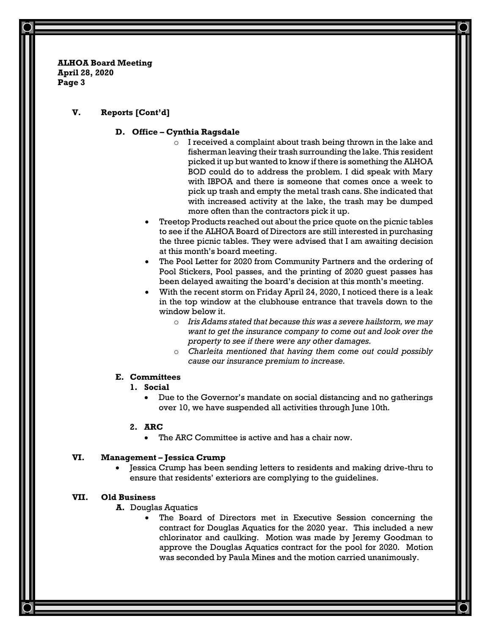## **V. Reports [Cont'd]**

#### **D. Office – Cynthia Ragsdale**

- o I received a complaint about trash being thrown in the lake and fisherman leaving their trash surrounding the lake. This resident picked it up but wanted to know if there is something the ALHOA BOD could do to address the problem. I did speak with Mary with IBPOA and there is someone that comes once a week to pick up trash and empty the metal trash cans. She indicated that with increased activity at the lake, the trash may be dumped more often than the contractors pick it up.
- Treetop Products reached out about the price quote on the picnic tables to see if the ALHOA Board of Directors are still interested in purchasing the three picnic tables. They were advised that I am awaiting decision at this month's board meeting.
- The Pool Letter for 2020 from Community Partners and the ordering of Pool Stickers, Pool passes, and the printing of 2020 guest passes has been delayed awaiting the board's decision at this month's meeting.
- With the recent storm on Friday April 24, 2020, I noticed there is a leak in the top window at the clubhouse entrance that travels down to the window below it.
	- o *Iris Adams stated that because this was a severe hailstorm, we may want to get the insurance company to come out and look over the property to see if there were any other damages.*
	- o *Charleita mentioned that having them come out could possibly cause our insurance premium to increase.*

## **E. Committees**

#### **1. Social**

• Due to the Governor's mandate on social distancing and no gatherings over 10, we have suspended all activities through June 10th.

#### **2. ARC**

• The ARC Committee is active and has a chair now.

# **VI. Management – Jessica Crump**

• Jessica Crump has been sending letters to residents and making drive-thru to ensure that residents' exteriors are complying to the guidelines.

#### **VII. Old Business**

**A.** Douglas Aquatics

• The Board of Directors met in Executive Session concerning the contract for Douglas Aquatics for the 2020 year. This included a new chlorinator and caulking. Motion was made by Jeremy Goodman to approve the Douglas Aquatics contract for the pool for 2020. Motion was seconded by Paula Mines and the motion carried unanimously.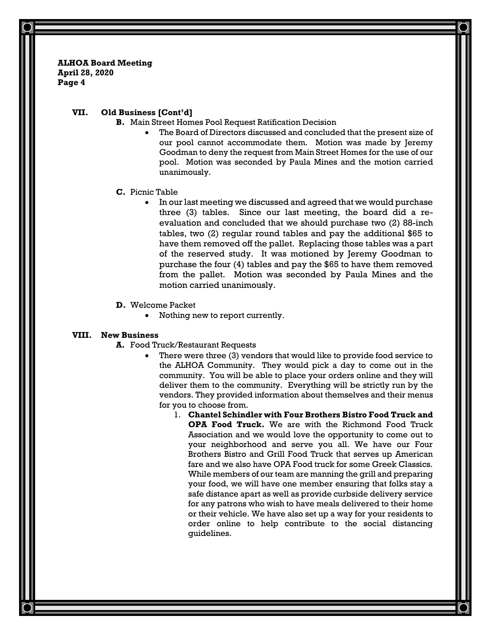### **VII. Old Business [Cont'd]**

- **B.** Main Street Homes Pool Request Ratification Decision
	- The Board of Directors discussed and concluded that the present size of our pool cannot accommodate them. Motion was made by Jeremy Goodman to deny the request from Main Street Homes for the use of our pool. Motion was seconded by Paula Mines and the motion carried unanimously.

#### **C.** Picnic Table

- In our last meeting we discussed and agreed that we would purchase three (3) tables. Since our last meeting, the board did a reevaluation and concluded that we should purchase two (2) 88-inch tables, two (2) regular round tables and pay the additional \$65 to have them removed off the pallet. Replacing those tables was a part of the reserved study. It was motioned by Jeremy Goodman to purchase the four (4) tables and pay the \$65 to have them removed from the pallet. Motion was seconded by Paula Mines and the motion carried unanimously.
- **D.** Welcome Packet
	- Nothing new to report currently.

#### **VIII. New Business**

- **A.** Food Truck/Restaurant Requests
	- There were three (3) vendors that would like to provide food service to the ALHOA Community. They would pick a day to come out in the community. You will be able to place your orders online and they will deliver them to the community. Everything will be strictly run by the vendors. They provided information about themselves and their menus for you to choose from.
		- 1. **Chantel Schindler with Four Brothers Bistro Food Truck and OPA Food Truck.** We are with the Richmond Food Truck Association and we would love the opportunity to come out to your neighborhood and serve you all. We have our Four Brothers Bistro and Grill Food Truck that serves up American fare and we also have OPA Food truck for some Greek Classics. While members of our team are manning the grill and preparing your food, we will have one member ensuring that folks stay a safe distance apart as well as provide curbside delivery service for any patrons who wish to have meals delivered to their home or their vehicle. We have also set up a way for your residents to order online to help contribute to the social distancing guidelines.